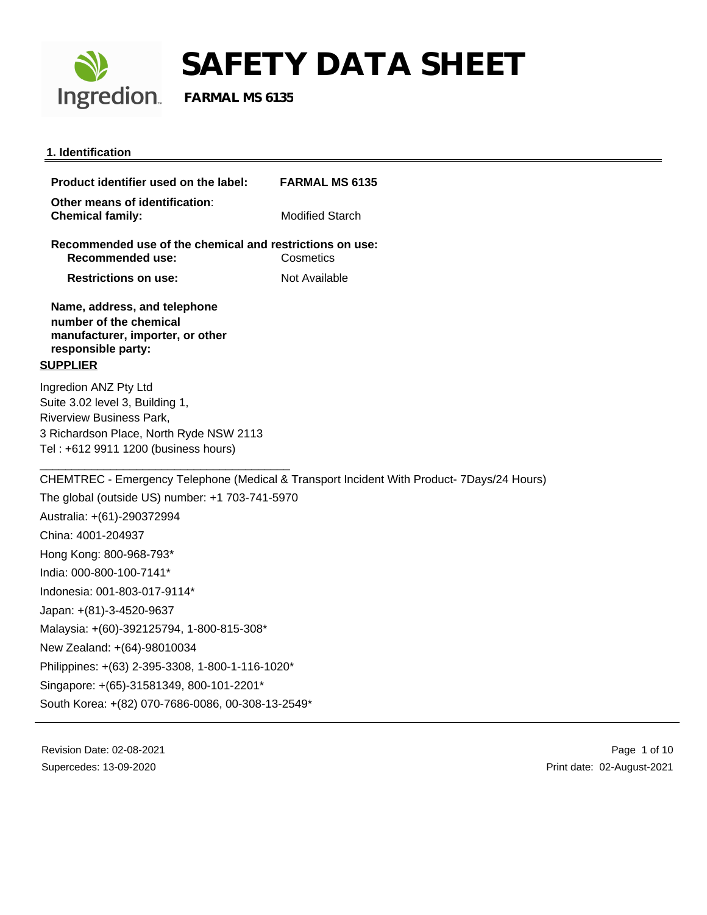

### **1. Identification**

| Product identifier used on the label:                                                                                                                                          | <b>FARMAL MS 6135</b>                                                                      |
|--------------------------------------------------------------------------------------------------------------------------------------------------------------------------------|--------------------------------------------------------------------------------------------|
| Other means of identification:<br><b>Chemical family:</b>                                                                                                                      | <b>Modified Starch</b>                                                                     |
| Recommended use of the chemical and restrictions on use:<br><b>Recommended use:</b>                                                                                            | Cosmetics                                                                                  |
| <b>Restrictions on use:</b>                                                                                                                                                    | Not Available                                                                              |
| Name, address, and telephone<br>number of the chemical<br>manufacturer, importer, or other<br>responsible party:<br><b>SUPPLIER</b>                                            |                                                                                            |
| Ingredion ANZ Pty Ltd<br>Suite 3.02 level 3, Building 1,<br><b>Riverview Business Park,</b><br>3 Richardson Place, North Ryde NSW 2113<br>Tel: +612 9911 1200 (business hours) |                                                                                            |
|                                                                                                                                                                                | CHEMTREC - Emergency Telephone (Medical & Transport Incident With Product- 7Days/24 Hours) |
| The global (outside US) number: +1 703-741-5970                                                                                                                                |                                                                                            |
| Australia: +(61)-290372994                                                                                                                                                     |                                                                                            |
| China: 4001-204937                                                                                                                                                             |                                                                                            |
| Hong Kong: 800-968-793*                                                                                                                                                        |                                                                                            |
| India: 000-800-100-7141*                                                                                                                                                       |                                                                                            |
| Indonesia: 001-803-017-9114*                                                                                                                                                   |                                                                                            |
| Japan: +(81)-3-4520-9637                                                                                                                                                       |                                                                                            |
| Malaysia: +(60)-392125794, 1-800-815-308*                                                                                                                                      |                                                                                            |
| New Zealand: +(64)-98010034                                                                                                                                                    |                                                                                            |
| Philippines: +(63) 2-395-3308, 1-800-1-116-1020*                                                                                                                               |                                                                                            |
| Singapore: +(65)-31581349, 800-101-2201*                                                                                                                                       |                                                                                            |
| South Korea: +(82) 070-7686-0086, 00-308-13-2549*                                                                                                                              |                                                                                            |
|                                                                                                                                                                                |                                                                                            |

Revision Date: 02-08-2021 Supercedes: 13-09-2020

 Page 1 of 10 Print date: 02-August-2021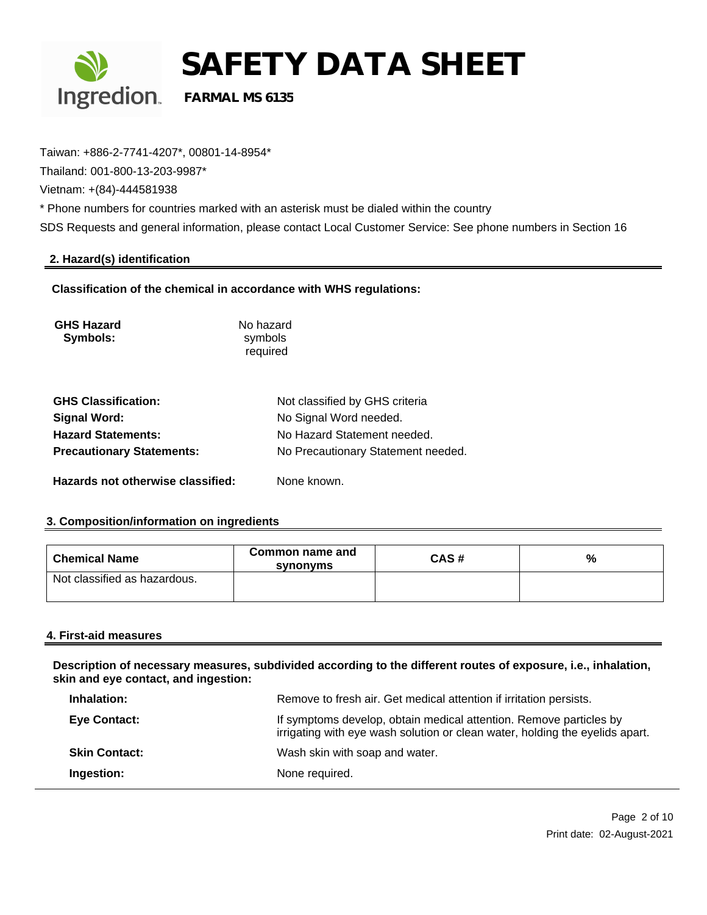

Taiwan: +886-2-7741-4207\*, 00801-14-8954\*

Thailand: 001-800-13-203-9987\*

Vietnam: +(84)-444581938

\* Phone numbers for countries marked with an asterisk must be dialed within the country

SDS Requests and general information, please contact Local Customer Service: See phone numbers in Section 16

## **2. Hazard(s) identification**

**Classification of the chemical in accordance with WHS regulations:**

| <b>GHS Hazard</b><br>Symbols:     | No hazard<br>symbols<br>required   |
|-----------------------------------|------------------------------------|
| <b>GHS Classification:</b>        | Not classified by GHS criteria     |
| <b>Signal Word:</b>               | No Signal Word needed.             |
| <b>Hazard Statements:</b>         | No Hazard Statement needed.        |
| <b>Precautionary Statements:</b>  | No Precautionary Statement needed. |
| Hazards not otherwise classified: | None known.                        |

## **3. Composition/information on ingredients**

| <b>Chemical Name</b>         | Common name and<br>synonyms | CAS# | % |
|------------------------------|-----------------------------|------|---|
| Not classified as hazardous. |                             |      |   |

## **4. First-aid measures**

**Description of necessary measures, subdivided according to the different routes of exposure, i.e., inhalation, skin and eye contact, and ingestion:**

| Inhalation:          | Remove to fresh air. Get medical attention if irritation persists.                                                                                 |
|----------------------|----------------------------------------------------------------------------------------------------------------------------------------------------|
| <b>Eye Contact:</b>  | If symptoms develop, obtain medical attention. Remove particles by<br>irrigating with eye wash solution or clean water, holding the eyelids apart. |
| <b>Skin Contact:</b> | Wash skin with soap and water.                                                                                                                     |
| Ingestion:           | None required.                                                                                                                                     |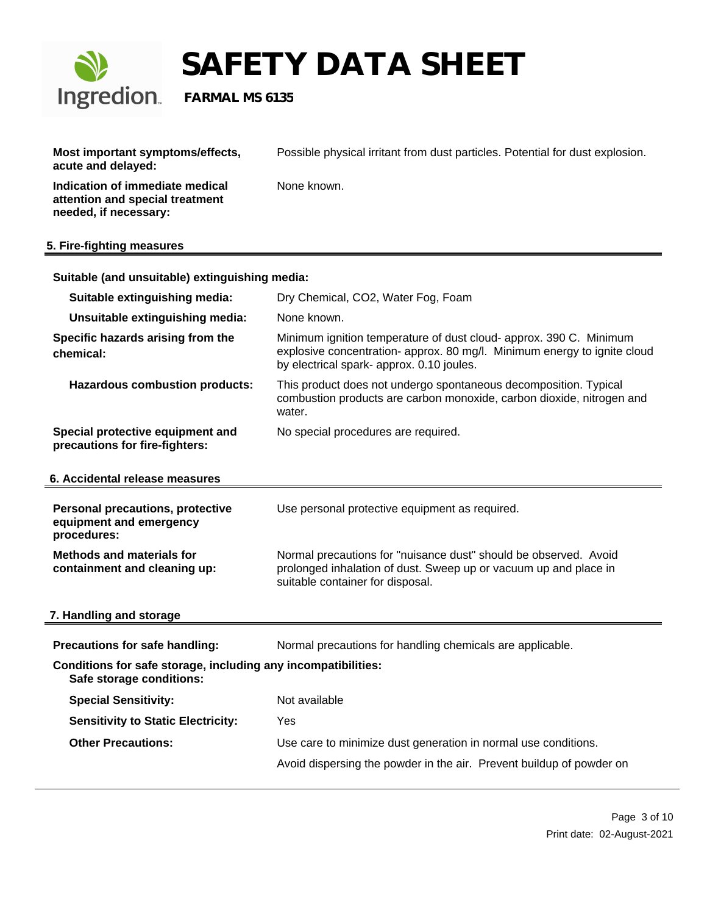

| Most important symptoms/effects,<br>acute and delayed:                                      | Possible physical irritant from dust particles. Potential for dust explosion.                                                                                                               |  |
|---------------------------------------------------------------------------------------------|---------------------------------------------------------------------------------------------------------------------------------------------------------------------------------------------|--|
| Indication of immediate medical<br>attention and special treatment<br>needed, if necessary: | None known.                                                                                                                                                                                 |  |
| 5. Fire-fighting measures                                                                   |                                                                                                                                                                                             |  |
| Suitable (and unsuitable) extinguishing media:                                              |                                                                                                                                                                                             |  |
| Suitable extinguishing media:                                                               | Dry Chemical, CO2, Water Fog, Foam                                                                                                                                                          |  |
| Unsuitable extinguishing media:                                                             | None known.                                                                                                                                                                                 |  |
| Specific hazards arising from the<br>chemical:                                              | Minimum ignition temperature of dust cloud- approx. 390 C. Minimum<br>explosive concentration- approx. 80 mg/l. Minimum energy to ignite cloud<br>by electrical spark- approx. 0.10 joules. |  |
| <b>Hazardous combustion products:</b>                                                       | This product does not undergo spontaneous decomposition. Typical<br>combustion products are carbon monoxide, carbon dioxide, nitrogen and<br>water.                                         |  |
| Special protective equipment and<br>precautions for fire-fighters:                          | No special procedures are required.                                                                                                                                                         |  |
| 6. Accidental release measures                                                              |                                                                                                                                                                                             |  |
| <b>Personal precautions, protective</b><br>equipment and emergency<br>procedures:           | Use personal protective equipment as required.                                                                                                                                              |  |
| <b>Methods and materials for</b><br>containment and cleaning up:                            | Normal precautions for "nuisance dust" should be observed. Avoid<br>prolonged inhalation of dust. Sweep up or vacuum up and place in<br>suitable container for disposal.                    |  |
| 7. Handling and storage                                                                     |                                                                                                                                                                                             |  |
| Precautions for safe handling:                                                              | Normal precautions for handling chemicals are applicable.                                                                                                                                   |  |
| Conditions for safe storage, including any incompatibilities:<br>Safe storage conditions:   |                                                                                                                                                                                             |  |
| <b>Special Sensitivity:</b>                                                                 | Not available                                                                                                                                                                               |  |
| <b>Sensitivity to Static Electricity:</b>                                                   | Yes                                                                                                                                                                                         |  |
| <b>Other Precautions:</b>                                                                   | Use care to minimize dust generation in normal use conditions.                                                                                                                              |  |
|                                                                                             | Avoid dispersing the powder in the air. Prevent buildup of powder on                                                                                                                        |  |
|                                                                                             |                                                                                                                                                                                             |  |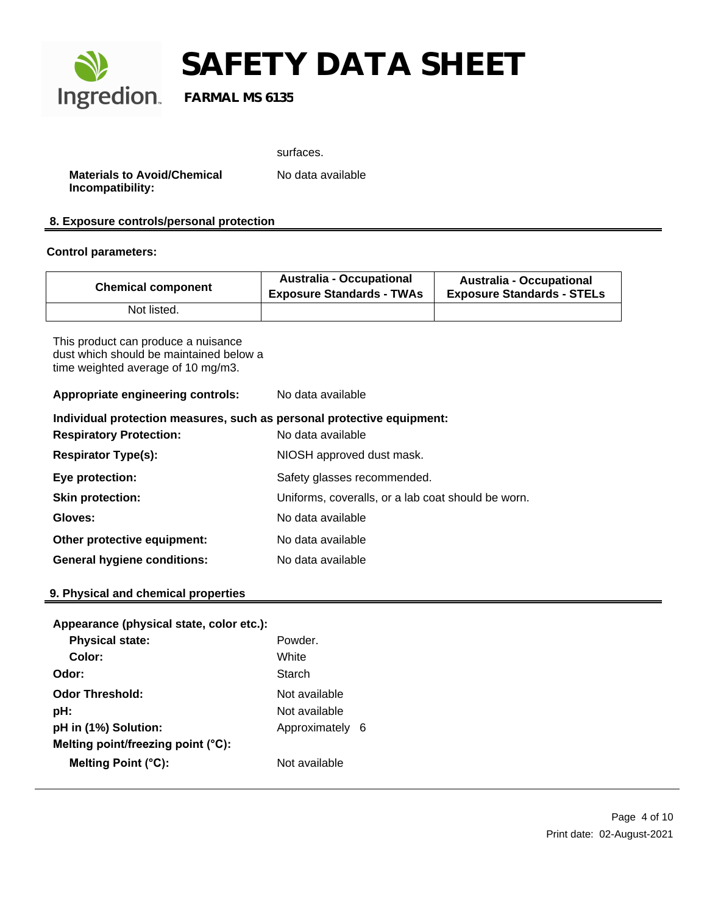

surfaces.

**Materials to Avoid/Chemical Incompatibility:**

No data available

## **8. Exposure controls/personal protection**

### **Control parameters:**

| <b>Chemical component</b> | <b>Australia - Occupational</b><br><b>Exposure Standards - TWAs</b> | <b>Australia - Occupational</b><br><b>Exposure Standards - STELs</b> |
|---------------------------|---------------------------------------------------------------------|----------------------------------------------------------------------|
| Not listed.               |                                                                     |                                                                      |

This product can produce a nuisance dust which should be maintained below a time weighted average of 10 mg/m3.

**Appropriate engineering controls:** No data available

| Individual protection measures, such as personal protective equipment: |                                                    |  |  |
|------------------------------------------------------------------------|----------------------------------------------------|--|--|
| <b>Respiratory Protection:</b>                                         | No data available                                  |  |  |
| <b>Respirator Type(s):</b>                                             | NIOSH approved dust mask.                          |  |  |
| Eye protection:                                                        | Safety glasses recommended.                        |  |  |
| <b>Skin protection:</b>                                                | Uniforms, coveralls, or a lab coat should be worn. |  |  |
| Gloves:                                                                | No data available                                  |  |  |
| Other protective equipment:                                            | No data available                                  |  |  |
| <b>General hygiene conditions:</b>                                     | No data available                                  |  |  |

## **9. Physical and chemical properties**

| Appearance (physical state, color etc.): |                 |  |
|------------------------------------------|-----------------|--|
| <b>Physical state:</b>                   | Powder          |  |
| Color:                                   | White           |  |
| Odor:                                    | Starch          |  |
| <b>Odor Threshold:</b>                   | Not available   |  |
| pH:                                      | Not available   |  |
| pH in (1%) Solution:                     | Approximately 6 |  |
| Melting point/freezing point (°C):       |                 |  |
| Melting Point (°C):                      | Not available   |  |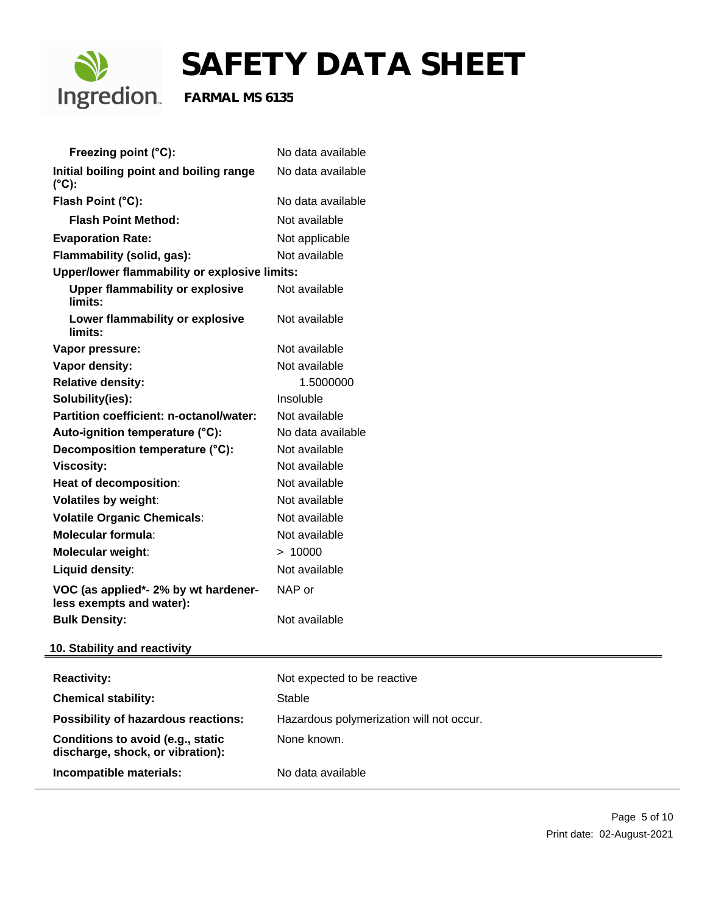

| Freezing point (°C):                                                  | No data available                        |
|-----------------------------------------------------------------------|------------------------------------------|
| Initial boiling point and boiling range<br>$(^{\circ}C)$ :            | No data available                        |
| Flash Point (°C):                                                     | No data available                        |
| <b>Flash Point Method:</b>                                            | Not available                            |
| <b>Evaporation Rate:</b>                                              | Not applicable                           |
| Flammability (solid, gas):                                            | Not available                            |
| Upper/lower flammability or explosive limits:                         |                                          |
| <b>Upper flammability or explosive</b><br>limits:                     | Not available                            |
| Lower flammability or explosive<br>limits:                            | Not available                            |
| Vapor pressure:                                                       | Not available                            |
| Vapor density:                                                        | Not available                            |
| <b>Relative density:</b>                                              | 1.5000000                                |
| Solubility(ies):                                                      | Insoluble                                |
| Partition coefficient: n-octanol/water:                               | Not available                            |
| Auto-ignition temperature (°C):                                       | No data available                        |
| Decomposition temperature (°C):                                       | Not available                            |
| <b>Viscosity:</b>                                                     | Not available                            |
| Heat of decomposition:                                                | Not available                            |
| <b>Volatiles by weight:</b>                                           | Not available                            |
| <b>Volatile Organic Chemicals:</b>                                    | Not available                            |
| <b>Molecular formula:</b>                                             | Not available                            |
| Molecular weight:                                                     | > 10000                                  |
| Liquid density:                                                       | Not available                            |
| VOC (as applied*- 2% by wt hardener-<br>less exempts and water):      | NAP or                                   |
| <b>Bulk Density:</b>                                                  | Not available                            |
| 10. Stability and reactivity                                          |                                          |
| <b>Reactivity:</b>                                                    | Not expected to be reactive              |
| <b>Chemical stability:</b>                                            | <b>Stable</b>                            |
| <b>Possibility of hazardous reactions:</b>                            | Hazardous polymerization will not occur. |
| Conditions to avoid (e.g., static<br>discharge, shock, or vibration): | None known.                              |
| Incompatible materials:                                               | No data available                        |
|                                                                       |                                          |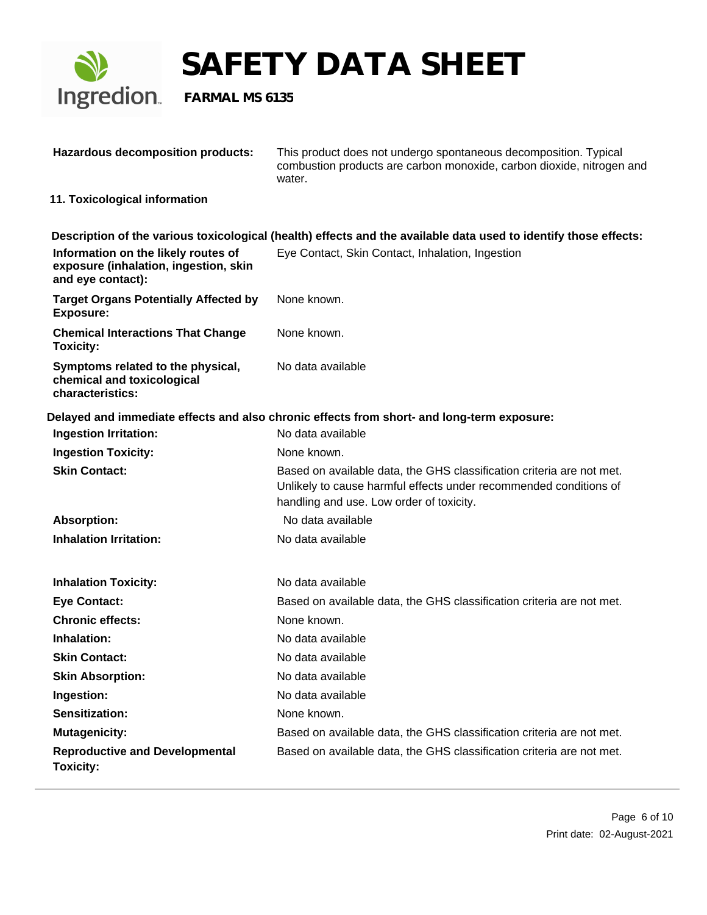

| <b>Hazardous decomposition products:</b>                                                          | This product does not undergo spontaneous decomposition. Typical<br>combustion products are carbon monoxide, carbon dioxide, nitrogen and<br>water.                                    |
|---------------------------------------------------------------------------------------------------|----------------------------------------------------------------------------------------------------------------------------------------------------------------------------------------|
| 11. Toxicological information                                                                     |                                                                                                                                                                                        |
|                                                                                                   | Description of the various toxicological (health) effects and the available data used to identify those effects:                                                                       |
| Information on the likely routes of<br>exposure (inhalation, ingestion, skin<br>and eye contact): | Eye Contact, Skin Contact, Inhalation, Ingestion                                                                                                                                       |
| <b>Target Organs Potentially Affected by</b><br><b>Exposure:</b>                                  | None known.                                                                                                                                                                            |
| <b>Chemical Interactions That Change</b><br><b>Toxicity:</b>                                      | None known.                                                                                                                                                                            |
| Symptoms related to the physical,<br>chemical and toxicological<br>characteristics:               | No data available                                                                                                                                                                      |
|                                                                                                   | Delayed and immediate effects and also chronic effects from short- and long-term exposure:                                                                                             |
| <b>Ingestion Irritation:</b>                                                                      | No data available                                                                                                                                                                      |
| <b>Ingestion Toxicity:</b>                                                                        | None known.                                                                                                                                                                            |
| <b>Skin Contact:</b>                                                                              | Based on available data, the GHS classification criteria are not met.<br>Unlikely to cause harmful effects under recommended conditions of<br>handling and use. Low order of toxicity. |
| <b>Absorption:</b>                                                                                | No data available                                                                                                                                                                      |
| <b>Inhalation Irritation:</b>                                                                     | No data available                                                                                                                                                                      |
| <b>Inhalation Toxicity:</b>                                                                       | No data available                                                                                                                                                                      |
| <b>Eye Contact:</b>                                                                               | Based on available data, the GHS classification criteria are not met.                                                                                                                  |
| <b>Chronic effects:</b>                                                                           | None known.                                                                                                                                                                            |
| Inhalation:                                                                                       | No data available                                                                                                                                                                      |
| <b>Skin Contact:</b>                                                                              | No data available                                                                                                                                                                      |
| <b>Skin Absorption:</b>                                                                           | No data available                                                                                                                                                                      |
| Ingestion:                                                                                        | No data available                                                                                                                                                                      |
| <b>Sensitization:</b>                                                                             | None known.                                                                                                                                                                            |
| <b>Mutagenicity:</b>                                                                              | Based on available data, the GHS classification criteria are not met.                                                                                                                  |
| <b>Reproductive and Developmental</b><br><b>Toxicity:</b>                                         | Based on available data, the GHS classification criteria are not met.                                                                                                                  |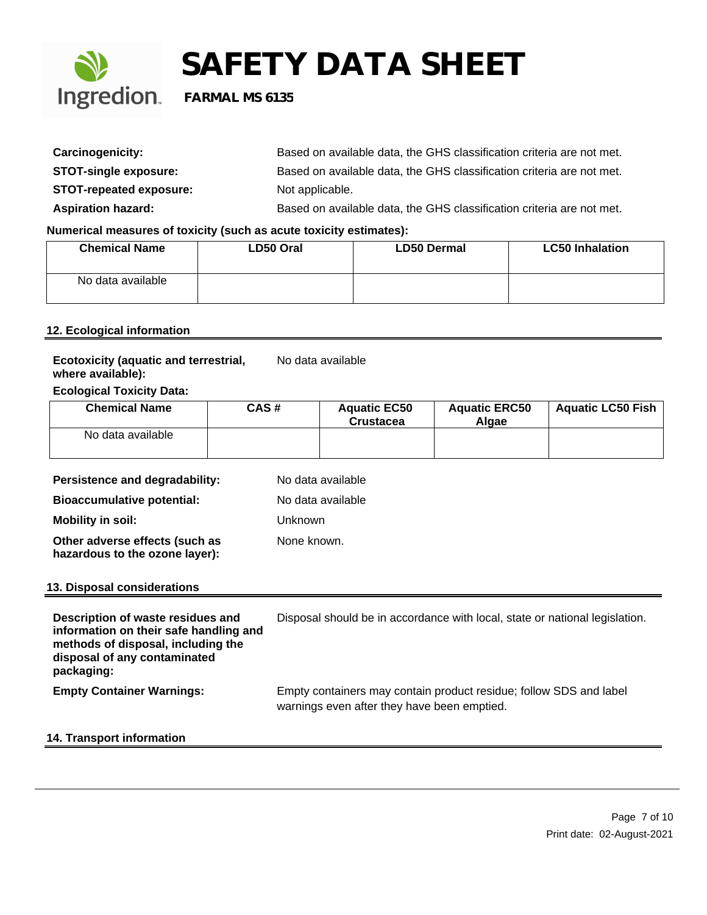

| Carcinogenicity:               | Based on available data, the GHS classification criteria are not met. |
|--------------------------------|-----------------------------------------------------------------------|
| <b>STOT-single exposure:</b>   | Based on available data, the GHS classification criteria are not met. |
| <b>STOT-repeated exposure:</b> | Not applicable.                                                       |
| <b>Aspiration hazard:</b>      | Based on available data, the GHS classification criteria are not met. |

## **Numerical measures of toxicity (such as acute toxicity estimates):**

| <b>Chemical Name</b> | LD50 Oral | <b>LD50 Dermal</b> | <b>LC50 Inhalation</b> |
|----------------------|-----------|--------------------|------------------------|
| No data available    |           |                    |                        |

## **12. Ecological information**

| <b>Ecotoxicity (aquatic and terrestrial,</b> | No data available |
|----------------------------------------------|-------------------|
| where available):                            |                   |

## **Ecological Toxicity Data:**

| <b>Chemical Name</b> | CAS# | <b>Aquatic EC50</b><br><b>Crustacea</b> | <b>Aquatic ERC50</b><br>Alaae | Aquatic LC50 Fish |
|----------------------|------|-----------------------------------------|-------------------------------|-------------------|
| No data available    |      |                                         |                               |                   |

| Persistence and degradability:                                                                                                                                  | No data available                                                                                                 |
|-----------------------------------------------------------------------------------------------------------------------------------------------------------------|-------------------------------------------------------------------------------------------------------------------|
| <b>Bioaccumulative potential:</b>                                                                                                                               | No data available                                                                                                 |
| Mobility in soil:                                                                                                                                               | Unknown                                                                                                           |
| Other adverse effects (such as<br>hazardous to the ozone layer):                                                                                                | None known.                                                                                                       |
| 13. Disposal considerations                                                                                                                                     |                                                                                                                   |
| Description of waste residues and<br>information on their safe handling and<br>methods of disposal, including the<br>disposal of any contaminated<br>packaging: | Disposal should be in accordance with local, state or national legislation.                                       |
| <b>Empty Container Warnings:</b>                                                                                                                                | Empty containers may contain product residue; follow SDS and label<br>warnings even after they have been emptied. |

## **14. Transport information**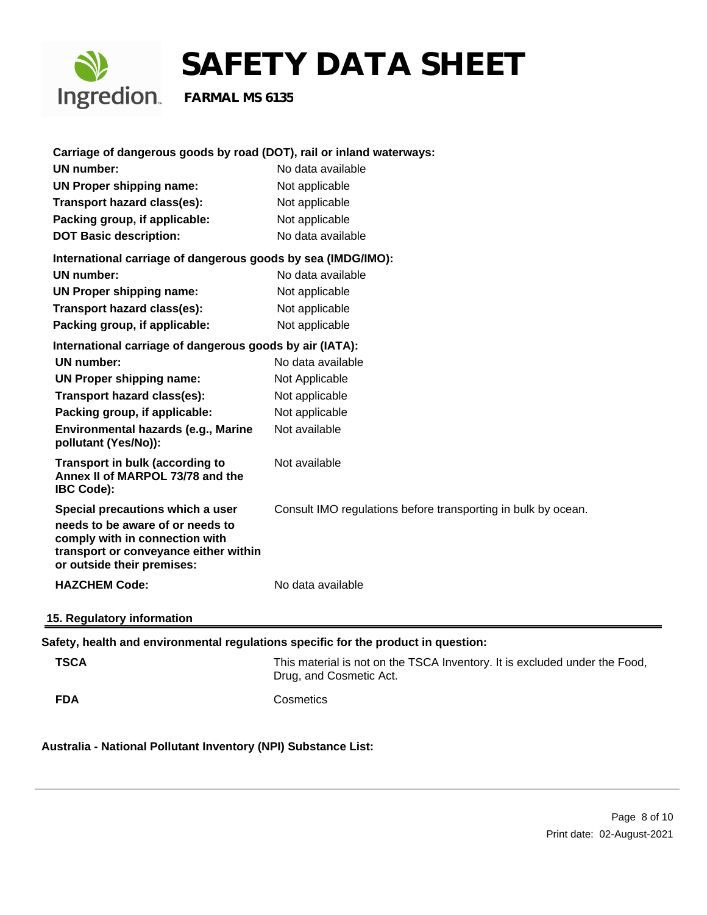

| Carriage of dangerous goods by road (DOT), rail or inland waterways:                                                                                                          |                                                                                                       |
|-------------------------------------------------------------------------------------------------------------------------------------------------------------------------------|-------------------------------------------------------------------------------------------------------|
| UN number:                                                                                                                                                                    | No data available                                                                                     |
| <b>UN Proper shipping name:</b>                                                                                                                                               | Not applicable                                                                                        |
| Transport hazard class(es):                                                                                                                                                   | Not applicable                                                                                        |
| Packing group, if applicable:                                                                                                                                                 | Not applicable                                                                                        |
| <b>DOT Basic description:</b>                                                                                                                                                 | No data available                                                                                     |
| International carriage of dangerous goods by sea (IMDG/IMO):                                                                                                                  |                                                                                                       |
| UN number:                                                                                                                                                                    | No data available                                                                                     |
| <b>UN Proper shipping name:</b>                                                                                                                                               | Not applicable                                                                                        |
| Transport hazard class(es):                                                                                                                                                   | Not applicable                                                                                        |
| Packing group, if applicable:                                                                                                                                                 | Not applicable                                                                                        |
| International carriage of dangerous goods by air (IATA):                                                                                                                      |                                                                                                       |
| <b>UN number:</b>                                                                                                                                                             | No data available                                                                                     |
| <b>UN Proper shipping name:</b>                                                                                                                                               | Not Applicable                                                                                        |
| Transport hazard class(es):                                                                                                                                                   | Not applicable                                                                                        |
| Packing group, if applicable:                                                                                                                                                 | Not applicable                                                                                        |
| Environmental hazards (e.g., Marine<br>pollutant (Yes/No)):                                                                                                                   | Not available                                                                                         |
| <b>Transport in bulk (according to</b><br>Annex II of MARPOL 73/78 and the<br><b>IBC Code):</b>                                                                               | Not available                                                                                         |
| Special precautions which a user<br>needs to be aware of or needs to<br>comply with in connection with<br>transport or conveyance either within<br>or outside their premises: | Consult IMO regulations before transporting in bulk by ocean.                                         |
| <b>HAZCHEM Code:</b>                                                                                                                                                          | No data available                                                                                     |
| 15. Regulatory information                                                                                                                                                    |                                                                                                       |
| Safety, health and environmental regulations specific for the product in question:                                                                                            |                                                                                                       |
| <b>TSCA</b>                                                                                                                                                                   | This material is not on the TSCA Inventory. It is excluded under the Food,<br>Drug, and Cosmetic Act. |
| <b>FDA</b>                                                                                                                                                                    | Cosmetics                                                                                             |

**Australia - National Pollutant Inventory (NPI) Substance List:**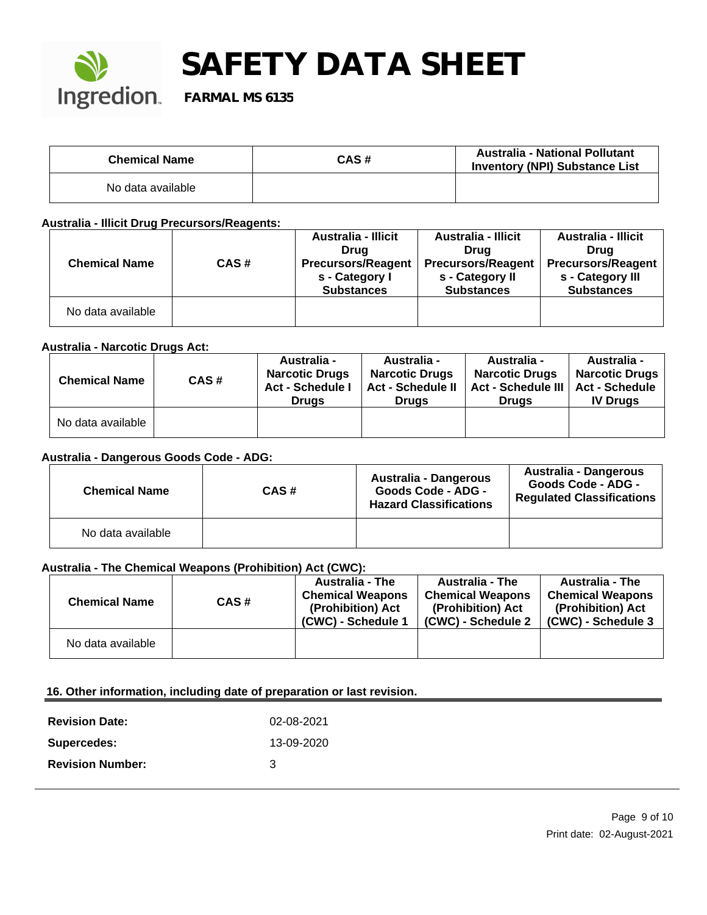

| <b>Chemical Name</b> | CAS# | <b>Australia - National Pollutant</b><br><b>Inventory (NPI) Substance List</b> |
|----------------------|------|--------------------------------------------------------------------------------|
| No data available    |      |                                                                                |

**Australia - Illicit Drug Precursors/Reagents:** 

|                      |      | <b>Australia - Illicit</b> | <b>Australia - Illicit</b> | <b>Australia - Illicit</b> |
|----------------------|------|----------------------------|----------------------------|----------------------------|
|                      |      | Drug                       | Drua                       | Drua                       |
| <b>Chemical Name</b> | CAS# | <b>Precursors/Reagent</b>  | <b>Precursors/Reagent</b>  | <b>Precursors/Reagent</b>  |
|                      |      | s - Category I             | s - Category II            | s - Category III           |
|                      |      | <b>Substances</b>          | <b>Substances</b>          | <b>Substances</b>          |
| No data available    |      |                            |                            |                            |

## **Australia - Narcotic Drugs Act:**

| <b>Chemical Name</b> | CAS# | <b>Australia -</b><br><b>Narcotic Drugs</b><br><b>Act - Schedule I</b><br><b>Drugs</b> | <b>Australia -</b><br><b>Narcotic Drugs</b><br><b>Act - Schedule II</b><br><b>Drugs</b> | <b>Australia -</b><br><b>Narcotic Drugs</b><br>Act - Schedule III   Act - Schedule<br><b>Drugs</b> | <b>Australia -</b><br><b>Narcotic Drugs</b><br><b>IV Drugs</b> |
|----------------------|------|----------------------------------------------------------------------------------------|-----------------------------------------------------------------------------------------|----------------------------------------------------------------------------------------------------|----------------------------------------------------------------|
| No data available    |      |                                                                                        |                                                                                         |                                                                                                    |                                                                |

#### **Australia - Dangerous Goods Code - ADG:**

| <b>Chemical Name</b> | CAS# | Australia - Dangerous<br><b>Goods Code - ADG -</b><br><b>Hazard Classifications</b> | Australia - Dangerous<br>Goods Code - ADG -<br><b>Regulated Classifications</b> |
|----------------------|------|-------------------------------------------------------------------------------------|---------------------------------------------------------------------------------|
| No data available    |      |                                                                                     |                                                                                 |

## **Australia - The Chemical Weapons (Prohibition) Act (CWC):**

| <b>Chemical Name</b> | CAS# | <b>Australia - The</b><br><b>Chemical Weapons</b><br>(Prohibition) Act<br>(CWC) - Schedule 1 | <b>Australia - The</b><br><b>Chemical Weapons</b><br>(Prohibition) Act<br>(CWC) - Schedule 2 | <b>Australia - The</b><br><b>Chemical Weapons</b><br>(Prohibition) Act<br>(CWC) - Schedule 3 |
|----------------------|------|----------------------------------------------------------------------------------------------|----------------------------------------------------------------------------------------------|----------------------------------------------------------------------------------------------|
| No data available    |      |                                                                                              |                                                                                              |                                                                                              |

#### **16. Other information, including date of preparation or last revision.**

| <b>Revision Date:</b>   | 02-08-2021 |
|-------------------------|------------|
| Supercedes:             | 13-09-2020 |
| <b>Revision Number:</b> | З          |